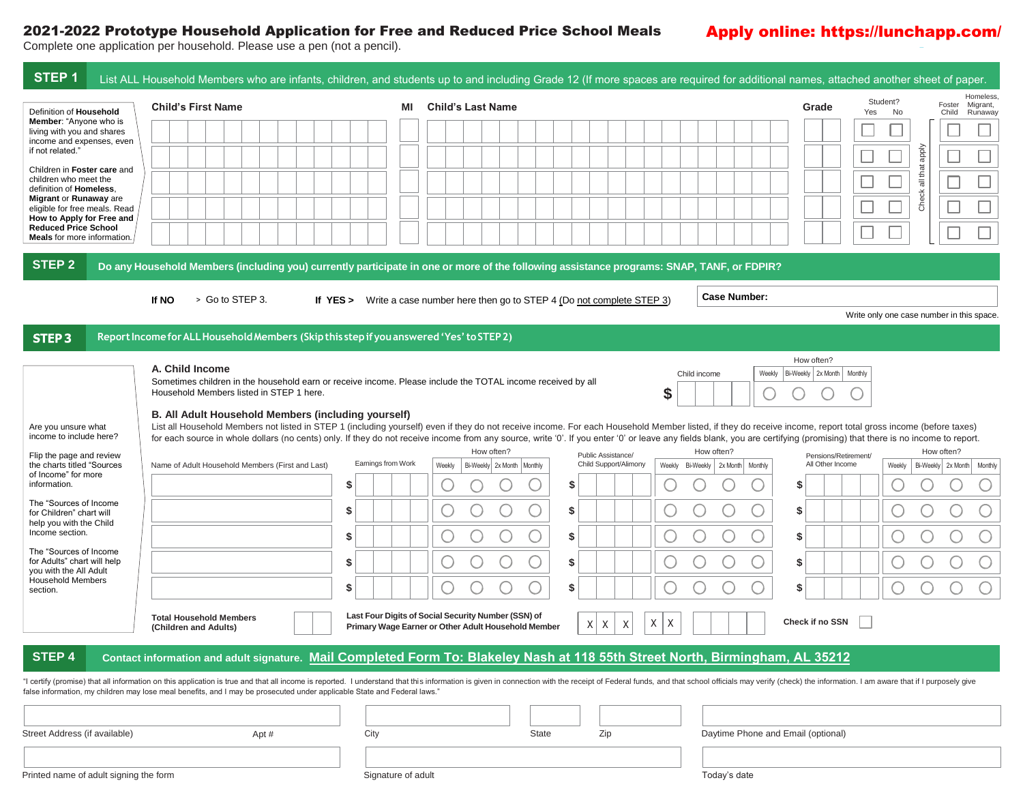## 2021-2022 Prototype Household Application for Free and Reduced Price School Meals

## Apply online: https://lunchapp.com/

Complete one application per household. Please use a pen (not a pencil).

| STEP <sub>1</sub>                                                                         | List ALL Household Members who are infants, children, and students up to and including Grade 12 (If more spaces are required for additional names, attached another sheet of paper.                                                                                                                                                                                                                                                         |                    |    |                                                                              |                       |        |                                    |                                |                       |                                                        |
|-------------------------------------------------------------------------------------------|---------------------------------------------------------------------------------------------------------------------------------------------------------------------------------------------------------------------------------------------------------------------------------------------------------------------------------------------------------------------------------------------------------------------------------------------|--------------------|----|------------------------------------------------------------------------------|-----------------------|--------|------------------------------------|--------------------------------|-----------------------|--------------------------------------------------------|
| Definition of Household                                                                   | <b>Child's First Name</b>                                                                                                                                                                                                                                                                                                                                                                                                                   |                    | ΜI | <b>Child's Last Name</b>                                                     |                       |        |                                    | Grade                          | Student?<br>Yes<br>No | <b>Homeless</b><br>Foster Migrant,<br>Runaway<br>Child |
| <b>Member:</b> "Anyone who is<br>living with you and shares                               |                                                                                                                                                                                                                                                                                                                                                                                                                                             |                    |    |                                                                              |                       |        |                                    |                                |                       |                                                        |
| income and expenses, even<br>if not related."                                             |                                                                                                                                                                                                                                                                                                                                                                                                                                             |                    |    |                                                                              |                       |        |                                    |                                |                       | ddde                                                   |
| Children in Foster care and<br>children who meet the                                      |                                                                                                                                                                                                                                                                                                                                                                                                                                             |                    |    |                                                                              |                       |        |                                    |                                |                       | all that                                               |
| definition of Homeless,<br>Migrant or Runaway are                                         |                                                                                                                                                                                                                                                                                                                                                                                                                                             |                    |    |                                                                              |                       |        |                                    |                                |                       | Check <sup>3</sup>                                     |
| eligible for free meals. Read<br>How to Apply for Free and<br><b>Reduced Price School</b> |                                                                                                                                                                                                                                                                                                                                                                                                                                             |                    |    |                                                                              |                       |        |                                    |                                |                       |                                                        |
| <b>Meals</b> for more information.                                                        |                                                                                                                                                                                                                                                                                                                                                                                                                                             |                    |    |                                                                              |                       |        |                                    |                                |                       |                                                        |
| <b>STEP 2</b>                                                                             | Do any Household Members (including you) currently participate in one or more of the following assistance programs: SNAP, TANF, or FDPIR?                                                                                                                                                                                                                                                                                                   |                    |    |                                                                              |                       |        |                                    |                                |                       |                                                        |
|                                                                                           | > Go to STEP 3.<br>If NO                                                                                                                                                                                                                                                                                                                                                                                                                    |                    |    | If YES > Write a case number here then go to STEP 4 (Do not complete STEP 3) |                       |        | <b>Case Number:</b>                |                                |                       |                                                        |
|                                                                                           |                                                                                                                                                                                                                                                                                                                                                                                                                                             |                    |    |                                                                              |                       |        |                                    |                                |                       | Write only one case number in this space.              |
| <b>STEP3</b>                                                                              | Report Income for ALL Household Members (Skip this step if you answered 'Yes' to STEP 2)                                                                                                                                                                                                                                                                                                                                                    |                    |    |                                                                              |                       |        |                                    |                                |                       |                                                        |
|                                                                                           | A. Child Income                                                                                                                                                                                                                                                                                                                                                                                                                             |                    |    |                                                                              |                       |        |                                    | How often?                     |                       |                                                        |
|                                                                                           | Sometimes children in the household earn or receive income. Please include the TOTAL income received by all<br>Household Members listed in STEP 1 here.                                                                                                                                                                                                                                                                                     |                    |    |                                                                              |                       |        | Weekly<br>Child income             | Bi-Weekly   2x Month   Monthly |                       |                                                        |
|                                                                                           | B. All Adult Household Members (including yourself)                                                                                                                                                                                                                                                                                                                                                                                         |                    |    |                                                                              |                       | \$     |                                    |                                |                       |                                                        |
| Are you unsure what<br>income to include here?                                            | List all Household Members not listed in STEP 1 (including yourself) even if they do not receive income. For each Household Member listed, if they do receive income, report total gross income (before taxes)<br>for each source in whole dollars (no cents) only. If they do not receive income from any source, write '0'. If you enter '0' or leave any fields blank, you are certifying (promising) that there is no income to report. |                    |    |                                                                              |                       |        |                                    |                                |                       |                                                        |
| Flip the page and review                                                                  |                                                                                                                                                                                                                                                                                                                                                                                                                                             |                    |    | How often?                                                                   | Public Assistance/    |        | How often?                         | Pensions/Retirement/           |                       | How often?                                             |
| the charts titled "Sources<br>of Income" for more                                         | Name of Adult Household Members (First and Last)                                                                                                                                                                                                                                                                                                                                                                                            | Earnings from Work |    | Weekly<br>Bi-Weekly 2x Month   Monthly                                       | Child Support/Alimony |        | Weekly Bi-Weekly 2x Month Monthly  | All Other Income               | Weekly                | Bi-Weekly 2x Month Monthly                             |
| information.<br>The "Sources of Income                                                    |                                                                                                                                                                                                                                                                                                                                                                                                                                             | \$                 |    |                                                                              | \$                    |        |                                    | \$                             |                       |                                                        |
| for Children" chart will<br>help you with the Child                                       |                                                                                                                                                                                                                                                                                                                                                                                                                                             | S                  |    |                                                                              | \$                    |        |                                    | \$                             |                       |                                                        |
| Income section.                                                                           |                                                                                                                                                                                                                                                                                                                                                                                                                                             | \$                 |    |                                                                              | \$                    |        | U                                  | \$                             |                       |                                                        |
| The "Sources of Income"<br>for Adults" chart will help<br>you with the All Adult          |                                                                                                                                                                                                                                                                                                                                                                                                                                             | \$                 |    |                                                                              | \$                    |        |                                    | \$                             |                       |                                                        |
| <b>Household Members</b><br>section.                                                      |                                                                                                                                                                                                                                                                                                                                                                                                                                             | \$                 |    |                                                                              | S                     |        |                                    | \$                             |                       |                                                        |
|                                                                                           | <b>Total Household Members</b>                                                                                                                                                                                                                                                                                                                                                                                                              |                    |    | Last Four Digits of Social Security Number (SSN) of                          |                       |        |                                    |                                |                       |                                                        |
|                                                                                           | (Children and Adults)                                                                                                                                                                                                                                                                                                                                                                                                                       |                    |    | Primary Wage Earner or Other Adult Household Member                          | $X$ $X$<br>X          | X<br>Χ |                                    | Check if no SSN                |                       |                                                        |
| STEP 4                                                                                    | Contact information and adult signature. Mail Completed Form To: Blakeley Nash at 118 55th Street North, Birmingham, AL 35212                                                                                                                                                                                                                                                                                                               |                    |    |                                                                              |                       |        |                                    |                                |                       |                                                        |
|                                                                                           | "I certify (promise) that all information on this application is true and that all income is reported. I understand that this information is given in connection with the receipt of Federal funds, and that school officials<br>false information, my children may lose meal benefits, and I may be prosecuted under applicable State and Federal laws."                                                                                   |                    |    |                                                                              |                       |        |                                    |                                |                       |                                                        |
|                                                                                           |                                                                                                                                                                                                                                                                                                                                                                                                                                             |                    |    |                                                                              |                       |        |                                    |                                |                       |                                                        |
| Street Address (if available)                                                             | Apt #                                                                                                                                                                                                                                                                                                                                                                                                                                       | City               |    | State                                                                        | Zip                   |        | Daytime Phone and Email (optional) |                                |                       |                                                        |
|                                                                                           |                                                                                                                                                                                                                                                                                                                                                                                                                                             |                    |    |                                                                              |                       |        |                                    |                                |                       |                                                        |
| Printed name of adult signing the form                                                    |                                                                                                                                                                                                                                                                                                                                                                                                                                             | Signature of adult |    |                                                                              |                       |        | Today's date                       |                                |                       |                                                        |